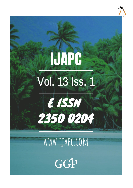# **IJAPC** Vol. 13 Iss. 1



# WWW.IJAPC.COM

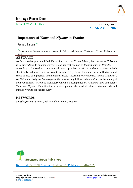

## **Int J Ayu Pharm Chem**

REVIEW ARTICLE www.ijapc.com

**e-ISSN 2350-0204**

### **Importance of** *Yama* **and** *Niyama* **in** *Vranita*

Veena J Kulkarni\*

\* Department of *Shalyatantra*,Jupiter Ayruvedic College and Hospital, *Shankarpur*, Nagpur, Maharashtra, India

#### **ABSTRACT**

As Sushrutacharya exemplified *Shashthiupkramas* of *Vranachikitsa,* the conclusive *Upkrama* is *Rakshavidhan*. In another words, we can say that one part of *Viharchikitsa* of *Vranita*. According to Ayurved, each and every disease is psycho-somatic. So we have to speculate both about body and mind. Here we want to enlighten psyche i.e. the mind, because fluctuation of *Mana* causes both physical and mental diseases. According to Ayurveda, *Mana* is C*hanchal*<sup>1</sup> . As *Chitta* and body are *Samayogvahi* that means they follow each other<sup>1</sup> so, for balancing of both, C*hittavruti- Nirodh* is mandatory which is accompanied by *Ashtanga yoga* and hereby *Yama* and *Niyama*. This literature examines pursues the need of balance between body and mind in *Vranita* for fast recovery.

#### **KEYWORDS**

*Shasthiupkrama, Vranita, Rakshavidhan, Yama, Niyama*



 $\overline{\phantom{a}}$  , and the contribution of the contribution of the contribution of the contribution of the contribution of the contribution of the contribution of the contribution of the contribution of the contribution of the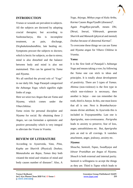

#### **INTRODUCTION**

*Vranas* or wounds are prevalent in subjects. All the subjects are doctored by adopting crucial therapies; but according to Sushrutacharya, this is incomplete treatment, as pain, discharge, *Dirghakalanubandhita*, late healing etc. Symptoms procure the subjects to doctors; which is hectic for subjects, so due to stress; mind is also disturbed and the balance between body and mind is also not maintained. This can be gained by *Yama* and *Niyama*.

We all ratrified the pivotal role of 'Yoga" in our daily life. Sage Patanjali categorized the *Ashtanga Yoga*; which signifies eight limbs of yoga.

Here we seize two *Angas* that are *Yama* and *Niyama,* which comes under the *Viharchikitsa*.

*Yama* exists for personal discipline and *Niyama* for social. By obtaining these 2 *Angas*, we can formulate a optimistic and positive personality which is very integral to alleviate the *Vrana* in *Vranita*.

#### **REVIEW OF LITERATURE**

According to Ayureveda, *Vata, Pitta, Kapha* are *Sharirik* (Physical) *Doshas*; *Manasdosha* are *Rajas, Tamas* they both vitiated the mind and vitiation of mind and body causes number of diseases<sup>3</sup>. Also, A

*Yoga*, *Atiyoga, Mithya yoga* of *Kala Artha,*  Karma Causes Roga/Vyadhi (diseases)<sup>4</sup>. Again *Pragdhya-paradh*, means *Dhi, Dhruti, Smruti, Vibhransh*, generate *Sharirik* and *Manasik* (physical and mental) Doshas because of abnormal *Karmas*<sup>5</sup>. To overcome these things we can use *Yama* and *Niyama angas* for *Vihara Chikitsa* in *Vranita*.

#### **Yama:**

It is the first limb of Patanjali's *Ashtanga Yoga* and means taking a vow; by following the *Yama* one can stick to ideas and principles. It is totally about development of positivity. There are 5 types of *Yamas. Ahimsa* (non-violence) is the first type in which non-violence is necessary, then another is *Satya* – one can remember the truth, third is *Asteya*. In this, one must know that all is one. Next is *Bramhacharya*means divine attribute; In Ayurveda this is included in *Trayopstambha*. Last one is *Aparigraha*, non-covetousness. *Parigraha* leads to anxiety to preserve, fear of loss, anger, untruthfulness etc. But, *Aparigraha* puts an end to all cravings. It vanishes attachment, anger, jealousy, anxiety etc.

#### *Niyama***:**

 $\mathcal{L}_\mathcal{L}$  , and the contribution of the contribution of the contribution of the contribution of the contribution of the contribution of the contribution of the contribution of the contribution of the contribution of

*Shoucha, Santosh, Tapas, Swadhyaya* and *Ishwar Pranidhan* are *Angas* of *Niyama. Shouch* is both external and internal purity. *Santosh* is willingness to accept the things as they are. Third is *Tapas* which leads to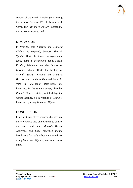

control of the mind. *Swadhyaya* is asking the question "who am I?" It feels mind with *Satva*. The last one is *Ishwar Pranidhana* means to surrender to god.

#### **DISCUSSION**

In *Vranita*, both *Sharirik* and *Manasik Chikitsa* is required, because *Sharirik Vyadhi* affects the *Mana*. In Ayurevedic texts, there is description about *Shoka, Krodha, Maithuna* are the factors or *Karanas* which affects the healing of *Vrana*<sup>6</sup> . *Shoka, Krodha* are *Manasik Bhavas*, which vitiates *Vata* and *Pitta*. As *Vata* is *Rajo-bahul, Rajo-gunas* are increased. In the same manner, "*krodhat Pittam*" *Pitta* is vitiated, which delays the wound healing. So *Satvaguna* of *Mana* is increased by using *Yama* and *Niyama*.

#### **CONCLUSION**

In present era; stress induced diseases are more, *Vrana* is also one of them, to control the stress and other *Manasik Bhava*, Ayurveda and *Yoga* described mental health care for healthy body and mind. By using *Yama* and *Niyama*, one can control mind.

 $\mathcal{L}_\mathcal{L}$  , and the contribution of the contribution of the contribution of the contribution of the contribution of the contribution of the contribution of the contribution of the contribution of the contribution of